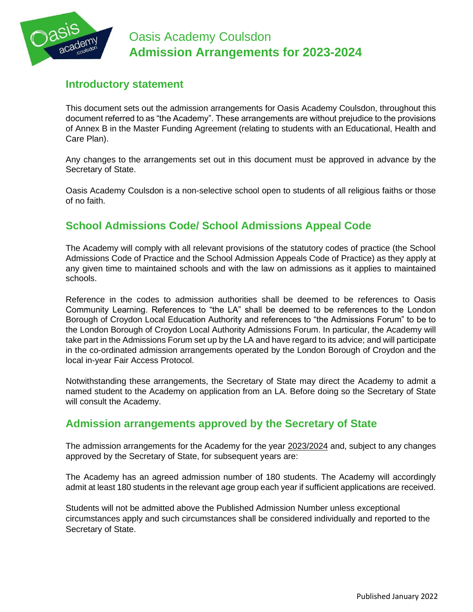

# **Introductory statement**

This document sets out the admission arrangements for Oasis Academy Coulsdon, throughout this document referred to as "the Academy". These arrangements are without prejudice to the provisions of Annex B in the Master Funding Agreement (relating to students with an Educational, Health and Care Plan).

Any changes to the arrangements set out in this document must be approved in advance by the Secretary of State.

Oasis Academy Coulsdon is a non-selective school open to students of all religious faiths or those of no faith.

# **School Admissions Code/ School Admissions Appeal Code**

The Academy will comply with all relevant provisions of the statutory codes of practice (the School Admissions Code of Practice and the School Admission Appeals Code of Practice) as they apply at any given time to maintained schools and with the law on admissions as it applies to maintained schools.

Reference in the codes to admission authorities shall be deemed to be references to Oasis Community Learning. References to "the LA" shall be deemed to be references to the London Borough of Croydon Local Education Authority and references to "the Admissions Forum" to be to the London Borough of Croydon Local Authority Admissions Forum. In particular, the Academy will take part in the Admissions Forum set up by the LA and have regard to its advice; and will participate in the co-ordinated admission arrangements operated by the London Borough of Croydon and the local in-year Fair Access Protocol.

Notwithstanding these arrangements, the Secretary of State may direct the Academy to admit a named student to the Academy on application from an LA. Before doing so the Secretary of State will consult the Academy.

# **Admission arrangements approved by the Secretary of State**

The admission arrangements for the Academy for the year 2023/2024 and, subject to any changes approved by the Secretary of State, for subsequent years are:

The Academy has an agreed admission number of 180 students. The Academy will accordingly admit at least 180 students in the relevant age group each year if sufficient applications are received.

Students will not be admitted above the Published Admission Number unless exceptional circumstances apply and such circumstances shall be considered individually and reported to the Secretary of State.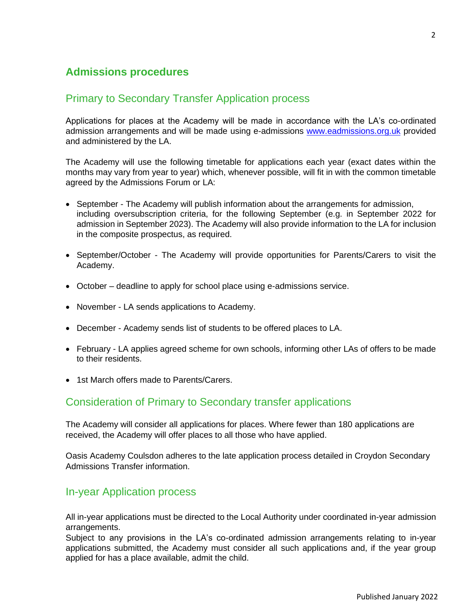# **Admissions procedures**

### Primary to Secondary Transfer Application process

Applications for places at the Academy will be made in accordance with the LA's co-ordinated admission arrangements and will be made using e-admissions [www.eadmissions.org.uk](http://www.eadmissions.org.uk/) provided and administered by the LA.

The Academy will use the following timetable for applications each year (exact dates within the months may vary from year to year) which, whenever possible, will fit in with the common timetable agreed by the Admissions Forum or LA:

- September The Academy will publish information about the arrangements for admission, including oversubscription criteria, for the following September (e.g. in September 2022 for admission in September 2023). The Academy will also provide information to the LA for inclusion in the composite prospectus, as required.
- September/October The Academy will provide opportunities for Parents/Carers to visit the Academy.
- October deadline to apply for school place using e-admissions service.
- November LA sends applications to Academy.
- December Academy sends list of students to be offered places to LA.
- February LA applies agreed scheme for own schools, informing other LAs of offers to be made to their residents.
- 1st March offers made to Parents/Carers.

### Consideration of Primary to Secondary transfer applications

The Academy will consider all applications for places. Where fewer than 180 applications are received, the Academy will offer places to all those who have applied.

Oasis Academy Coulsdon adheres to the late application process detailed in Croydon Secondary Admissions Transfer information.

#### In-year Application process

All in-year applications must be directed to the Local Authority under coordinated in-year admission arrangements.

Subject to any provisions in the LA's co-ordinated admission arrangements relating to in-year applications submitted, the Academy must consider all such applications and, if the year group applied for has a place available, admit the child.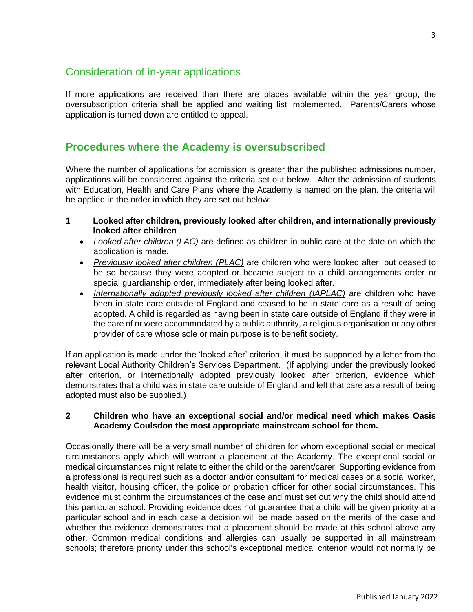# Consideration of in-year applications

If more applications are received than there are places available within the year group, the oversubscription criteria shall be applied and waiting list implemented. Parents/Carers whose application is turned down are entitled to appeal.

#### **Procedures where the Academy is oversubscribed**

Where the number of applications for admission is greater than the published admissions number, applications will be considered against the criteria set out below. After the admission of students with Education, Health and Care Plans where the Academy is named on the plan, the criteria will be applied in the order in which they are set out below:

- **1 Looked after children, previously looked after children, and internationally previously looked after children**
	- *Looked after children (LAC)* are defined as children in public care at the date on which the application is made.
	- *Previously looked after children (PLAC)* are children who were looked after, but ceased to be so because they were adopted or became subject to a child arrangements order or special guardianship order, immediately after being looked after.
	- *Internationally adopted previously looked after children (IAPLAC)* are children who have been in state care outside of England and ceased to be in state care as a result of being adopted. A child is regarded as having been in state care outside of England if they were in the care of or were accommodated by a public authority, a religious organisation or any other provider of care whose sole or main purpose is to benefit society.

If an application is made under the 'looked after' criterion, it must be supported by a letter from the relevant Local Authority Children's Services Department. (If applying under the previously looked after criterion, or internationally adopted previously looked after criterion, evidence which demonstrates that a child was in state care outside of England and left that care as a result of being adopted must also be supplied.)

#### **2 Children who have an exceptional social and/or medical need which makes Oasis Academy Coulsdon the most appropriate mainstream school for them.**

Occasionally there will be a very small number of children for whom exceptional social or medical circumstances apply which will warrant a placement at the Academy. The exceptional social or medical circumstances might relate to either the child or the parent/carer. Supporting evidence from a professional is required such as a doctor and/or consultant for medical cases or a social worker, health visitor, housing officer, the police or probation officer for other social circumstances. This evidence must confirm the circumstances of the case and must set out why the child should attend this particular school. Providing evidence does not guarantee that a child will be given priority at a particular school and in each case a decision will be made based on the merits of the case and whether the evidence demonstrates that a placement should be made at this school above any other. Common medical conditions and allergies can usually be supported in all mainstream schools; therefore priority under this school's exceptional medical criterion would not normally be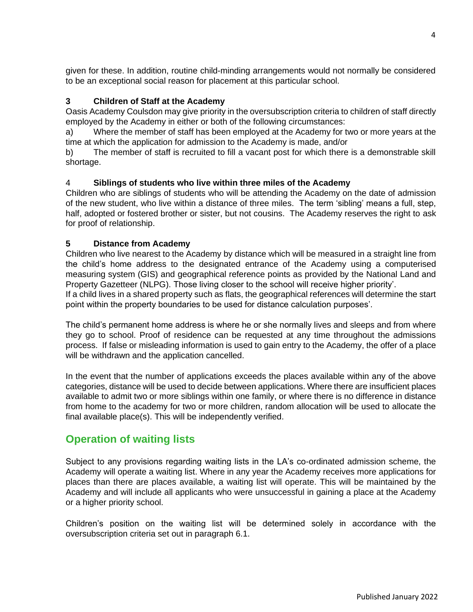given for these. In addition, routine child-minding arrangements would not normally be considered to be an exceptional social reason for placement at this particular school.

#### **3 Children of Staff at the Academy**

Oasis Academy Coulsdon may give priority in the oversubscription criteria to children of staff directly employed by the Academy in either or both of the following circumstances:

a) Where the member of staff has been employed at the Academy for two or more years at the time at which the application for admission to the Academy is made, and/or

b) The member of staff is recruited to fill a vacant post for which there is a demonstrable skill shortage.

#### 4 **Siblings of students who live within three miles of the Academy**

Children who are siblings of students who will be attending the Academy on the date of admission of the new student, who live within a distance of three miles. The term 'sibling' means a full, step, half, adopted or fostered brother or sister, but not cousins. The Academy reserves the right to ask for proof of relationship.

#### **5 Distance from Academy**

Children who live nearest to the Academy by distance which will be measured in a straight line from the child's home address to the designated entrance of the Academy using a computerised measuring system (GIS) and geographical reference points as provided by the National Land and Property Gazetteer (NLPG). Those living closer to the school will receive higher priority'.

If a child lives in a shared property such as flats, the geographical references will determine the start point within the property boundaries to be used for distance calculation purposes'.

The child's permanent home address is where he or she normally lives and sleeps and from where they go to school. Proof of residence can be requested at any time throughout the admissions process. If false or misleading information is used to gain entry to the Academy, the offer of a place will be withdrawn and the application cancelled.

In the event that the number of applications exceeds the places available within any of the above categories, distance will be used to decide between applications. Where there are insufficient places available to admit two or more siblings within one family, or where there is no difference in distance from home to the academy for two or more children, random allocation will be used to allocate the final available place(s). This will be independently verified.

### **Operation of waiting lists**

Subject to any provisions regarding waiting lists in the LA's co-ordinated admission scheme, the Academy will operate a waiting list. Where in any year the Academy receives more applications for places than there are places available, a waiting list will operate. This will be maintained by the Academy and will include all applicants who were unsuccessful in gaining a place at the Academy or a higher priority school.

Children's position on the waiting list will be determined solely in accordance with the oversubscription criteria set out in paragraph 6.1.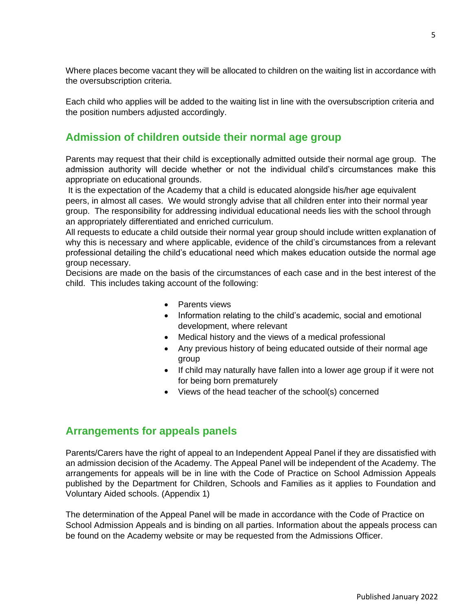Where places become vacant they will be allocated to children on the waiting list in accordance with the oversubscription criteria.

Each child who applies will be added to the waiting list in line with the oversubscription criteria and the position numbers adjusted accordingly.

## **Admission of children outside their normal age group**

Parents may request that their child is exceptionally admitted outside their normal age group. The admission authority will decide whether or not the individual child's circumstances make this appropriate on educational grounds.

It is the expectation of the Academy that a child is educated alongside his/her age equivalent peers, in almost all cases. We would strongly advise that all children enter into their normal year group. The responsibility for addressing individual educational needs lies with the school through an appropriately differentiated and enriched curriculum.

All requests to educate a child outside their normal year group should include written explanation of why this is necessary and where applicable, evidence of the child's circumstances from a relevant professional detailing the child's educational need which makes education outside the normal age group necessary.

Decisions are made on the basis of the circumstances of each case and in the best interest of the child. This includes taking account of the following:

- Parents views
- Information relating to the child's academic, social and emotional development, where relevant
- Medical history and the views of a medical professional
- Any previous history of being educated outside of their normal age group
- If child may naturally have fallen into a lower age group if it were not for being born prematurely
- Views of the head teacher of the school(s) concerned

# **Arrangements for appeals panels**

Parents/Carers have the right of appeal to an Independent Appeal Panel if they are dissatisfied with an admission decision of the Academy. The Appeal Panel will be independent of the Academy. The arrangements for appeals will be in line with the Code of Practice on School Admission Appeals published by the Department for Children, Schools and Families as it applies to Foundation and Voluntary Aided schools. (Appendix 1)

The determination of the Appeal Panel will be made in accordance with the Code of Practice on School Admission Appeals and is binding on all parties. Information about the appeals process can be found on the Academy website or may be requested from the Admissions Officer.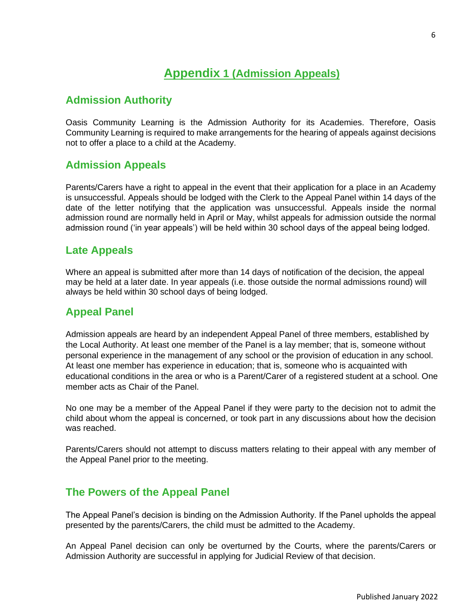# **Appendix 1 (Admission Appeals)**

#### **Admission Authority**

Oasis Community Learning is the Admission Authority for its Academies. Therefore, Oasis Community Learning is required to make arrangements for the hearing of appeals against decisions not to offer a place to a child at the Academy.

### **Admission Appeals**

Parents/Carers have a right to appeal in the event that their application for a place in an Academy is unsuccessful. Appeals should be lodged with the Clerk to the Appeal Panel within 14 days of the date of the letter notifying that the application was unsuccessful. Appeals inside the normal admission round are normally held in April or May, whilst appeals for admission outside the normal admission round ('in year appeals') will be held within 30 school days of the appeal being lodged.

#### **Late Appeals**

Where an appeal is submitted after more than 14 days of notification of the decision, the appeal may be held at a later date. In year appeals (i.e. those outside the normal admissions round) will always be held within 30 school days of being lodged.

### **Appeal Panel**

Admission appeals are heard by an independent Appeal Panel of three members, established by the Local Authority. At least one member of the Panel is a lay member; that is, someone without personal experience in the management of any school or the provision of education in any school. At least one member has experience in education; that is, someone who is acquainted with educational conditions in the area or who is a Parent/Carer of a registered student at a school. One member acts as Chair of the Panel.

No one may be a member of the Appeal Panel if they were party to the decision not to admit the child about whom the appeal is concerned, or took part in any discussions about how the decision was reached.

Parents/Carers should not attempt to discuss matters relating to their appeal with any member of the Appeal Panel prior to the meeting.

### **The Powers of the Appeal Panel**

The Appeal Panel's decision is binding on the Admission Authority. If the Panel upholds the appeal presented by the parents/Carers, the child must be admitted to the Academy.

An Appeal Panel decision can only be overturned by the Courts, where the parents/Carers or Admission Authority are successful in applying for Judicial Review of that decision.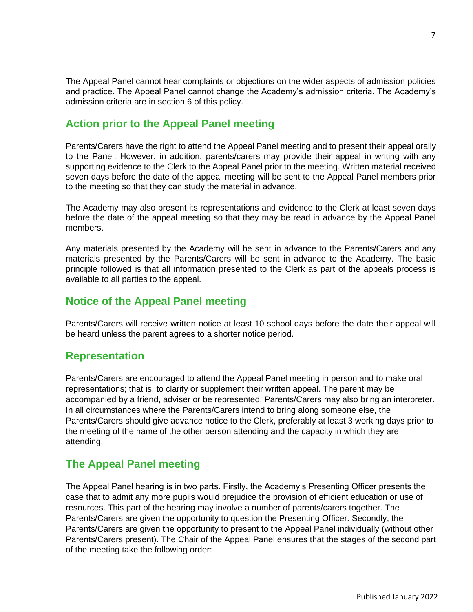The Appeal Panel cannot hear complaints or objections on the wider aspects of admission policies and practice. The Appeal Panel cannot change the Academy's admission criteria. The Academy's admission criteria are in section 6 of this policy.

# **Action prior to the Appeal Panel meeting**

Parents/Carers have the right to attend the Appeal Panel meeting and to present their appeal orally to the Panel. However, in addition, parents/carers may provide their appeal in writing with any supporting evidence to the Clerk to the Appeal Panel prior to the meeting. Written material received seven days before the date of the appeal meeting will be sent to the Appeal Panel members prior to the meeting so that they can study the material in advance.

The Academy may also present its representations and evidence to the Clerk at least seven days before the date of the appeal meeting so that they may be read in advance by the Appeal Panel members.

Any materials presented by the Academy will be sent in advance to the Parents/Carers and any materials presented by the Parents/Carers will be sent in advance to the Academy. The basic principle followed is that all information presented to the Clerk as part of the appeals process is available to all parties to the appeal.

# **Notice of the Appeal Panel meeting**

Parents/Carers will receive written notice at least 10 school days before the date their appeal will be heard unless the parent agrees to a shorter notice period.

### **Representation**

Parents/Carers are encouraged to attend the Appeal Panel meeting in person and to make oral representations; that is, to clarify or supplement their written appeal. The parent may be accompanied by a friend, adviser or be represented. Parents/Carers may also bring an interpreter. In all circumstances where the Parents/Carers intend to bring along someone else, the Parents/Carers should give advance notice to the Clerk, preferably at least 3 working days prior to the meeting of the name of the other person attending and the capacity in which they are attending.

# **The Appeal Panel meeting**

The Appeal Panel hearing is in two parts. Firstly, the Academy's Presenting Officer presents the case that to admit any more pupils would prejudice the provision of efficient education or use of resources. This part of the hearing may involve a number of parents/carers together. The Parents/Carers are given the opportunity to question the Presenting Officer. Secondly, the Parents/Carers are given the opportunity to present to the Appeal Panel individually (without other Parents/Carers present). The Chair of the Appeal Panel ensures that the stages of the second part of the meeting take the following order: